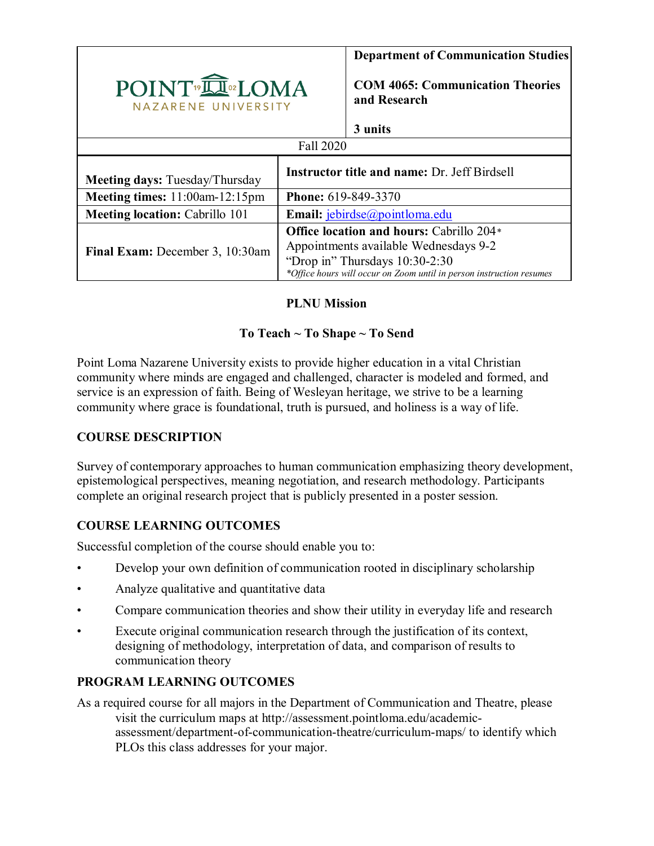|                                                | <b>Department of Communication Studies</b>          |                                                                                                                                                                                                    |  |  |  |  |  |
|------------------------------------------------|-----------------------------------------------------|----------------------------------------------------------------------------------------------------------------------------------------------------------------------------------------------------|--|--|--|--|--|
| POINT <sup>®</sup> IOMA<br>NAZARENE UNIVERSITY |                                                     | <b>COM 4065: Communication Theories</b><br>and Research                                                                                                                                            |  |  |  |  |  |
|                                                | 3 units                                             |                                                                                                                                                                                                    |  |  |  |  |  |
| Fall 2020                                      |                                                     |                                                                                                                                                                                                    |  |  |  |  |  |
| <b>Meeting days: Tuesday/Thursday</b>          | <b>Instructor title and name: Dr. Jeff Birdsell</b> |                                                                                                                                                                                                    |  |  |  |  |  |
| Meeting times: $11:00$ am- $12:15$ pm          | <b>Phone:</b> 619-849-3370                          |                                                                                                                                                                                                    |  |  |  |  |  |
| <b>Meeting location: Cabrillo 101</b>          | Email: jebirdse@pointloma.edu                       |                                                                                                                                                                                                    |  |  |  |  |  |
| Final Exam: December 3, 10:30am                |                                                     | <b>Office location and hours: Cabrillo 204*</b><br>Appointments available Wednesdays 9-2<br>"Drop in" Thursdays 10:30-2:30<br>*Office hours will occur on Zoom until in person instruction resumes |  |  |  |  |  |

# **PLNU Mission**

# **To Teach ~ To Shape ~ To Send**

Point Loma Nazarene University exists to provide higher education in a vital Christian community where minds are engaged and challenged, character is modeled and formed, and service is an expression of faith. Being of Wesleyan heritage, we strive to be a learning community where grace is foundational, truth is pursued, and holiness is a way of life.

# **COURSE DESCRIPTION**

Survey of contemporary approaches to human communication emphasizing theory development, epistemological perspectives, meaning negotiation, and research methodology. Participants complete an original research project that is publicly presented in a poster session.

# **COURSE LEARNING OUTCOMES**

Successful completion of the course should enable you to:

- Develop your own definition of communication rooted in disciplinary scholarship
- Analyze qualitative and quantitative data
- Compare communication theories and show their utility in everyday life and research
- Execute original communication research through the justification of its context, designing of methodology, interpretation of data, and comparison of results to communication theory

# **PROGRAM LEARNING OUTCOMES**

As a required course for all majors in the Department of Communication and Theatre, please visit the curriculum maps at http://assessment.pointloma.edu/academicassessment/department-of-communication-theatre/curriculum-maps/ to identify which PLOs this class addresses for your major.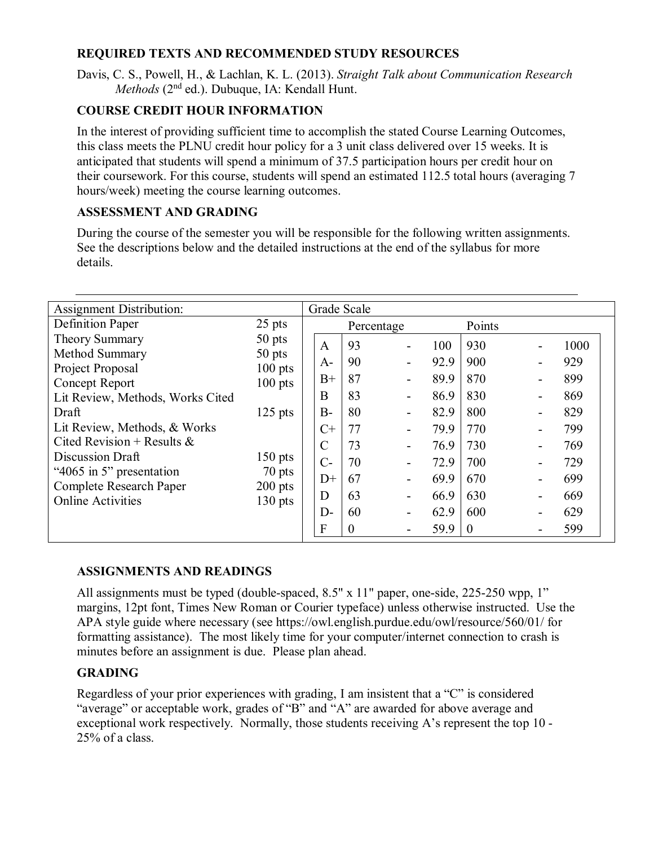### **REQUIRED TEXTS AND RECOMMENDED STUDY RESOURCES**

Davis, C. S., Powell, H., & Lachlan, K. L. (2013). *Straight Talk about Communication Research Methods* (2<sup>nd</sup> ed.). Dubuque, IA: Kendall Hunt.

# **COURSE CREDIT HOUR INFORMATION**

In the interest of providing sufficient time to accomplish the stated Course Learning Outcomes, this class meets the PLNU credit hour policy for a 3 unit class delivered over 15 weeks. It is anticipated that students will spend a minimum of 37.5 participation hours per credit hour on their coursework. For this course, students will spend an estimated 112.5 total hours (averaging 7 hours/week) meeting the course learning outcomes.

### **ASSESSMENT AND GRADING**

During the course of the semester you will be responsible for the following written assignments. See the descriptions below and the detailed instructions at the end of the syllabus for more details.

| <b>Assignment Distribution:</b>                     |                                                 | Grade Scale   |            |                              |        |          |      |
|-----------------------------------------------------|-------------------------------------------------|---------------|------------|------------------------------|--------|----------|------|
| Definition Paper                                    | $25$ pts                                        |               | Percentage |                              | Points |          |      |
| <b>Theory Summary</b>                               | $50$ pts                                        | A             | 93         | $\qquad \qquad \blacksquare$ | 100    | 930      | 1000 |
| Method Summary                                      | 50 pts                                          |               | 90         |                              | 92.9   | 900      | 929  |
| Project Proposal                                    | $100$ pts<br>$100$ pts                          | $A-$          |            | $\overline{\phantom{a}}$     |        |          |      |
| <b>Concept Report</b>                               |                                                 | $B+$          | 87         | $\overline{\phantom{a}}$     | 89.9   | 870      | 899  |
| Lit Review, Methods, Works Cited                    |                                                 | B             | 83         | $\overline{\phantom{a}}$     | 86.9   | 830      | 869  |
| Draft                                               | $125$ pts                                       | $B-$          | 80         | $\overline{\phantom{a}}$     | 82.9   | 800      | 829  |
| Lit Review, Methods, & Works                        | $150$ pts<br>$70$ pts<br>$200$ pts<br>$130$ pts | $C+$          | 77         | $\overline{\phantom{0}}$     | 79.9   | 770      | 799  |
| Cited Revision + Results &                          |                                                 | $\mathcal{C}$ | 73         | $\overline{\phantom{a}}$     | 76.9   | 730      | 769  |
| Discussion Draft                                    |                                                 | $C-$          | 70         | $\overline{\phantom{a}}$     | 72.9   | 700      | 729  |
| "4065 in 5" presentation                            |                                                 | $D+$          | 67         | $\overline{\phantom{a}}$     | 69.9   | 670      | 699  |
| Complete Research Paper<br><b>Online Activities</b> |                                                 | D             | 63         | $\overline{\phantom{a}}$     | 66.9   | 630      | 669  |
|                                                     |                                                 | $D-$          | 60         | $\overline{\phantom{a}}$     | 62.9   | 600      | 629  |
|                                                     |                                                 | F             | $\theta$   |                              | 59.9   | $\theta$ | 599  |

#### **ASSIGNMENTS AND READINGS**

All assignments must be typed (double-spaced, 8.5" x 11" paper, one-side, 225-250 wpp, 1" margins, 12pt font, Times New Roman or Courier typeface) unless otherwise instructed. Use the APA style guide where necessary (see https://owl.english.purdue.edu/owl/resource/560/01/ for formatting assistance). The most likely time for your computer/internet connection to crash is minutes before an assignment is due. Please plan ahead.

#### **GRADING**

Regardless of your prior experiences with grading, I am insistent that a "C" is considered "average" or acceptable work, grades of "B" and "A" are awarded for above average and exceptional work respectively. Normally, those students receiving A's represent the top 10 - 25% of a class.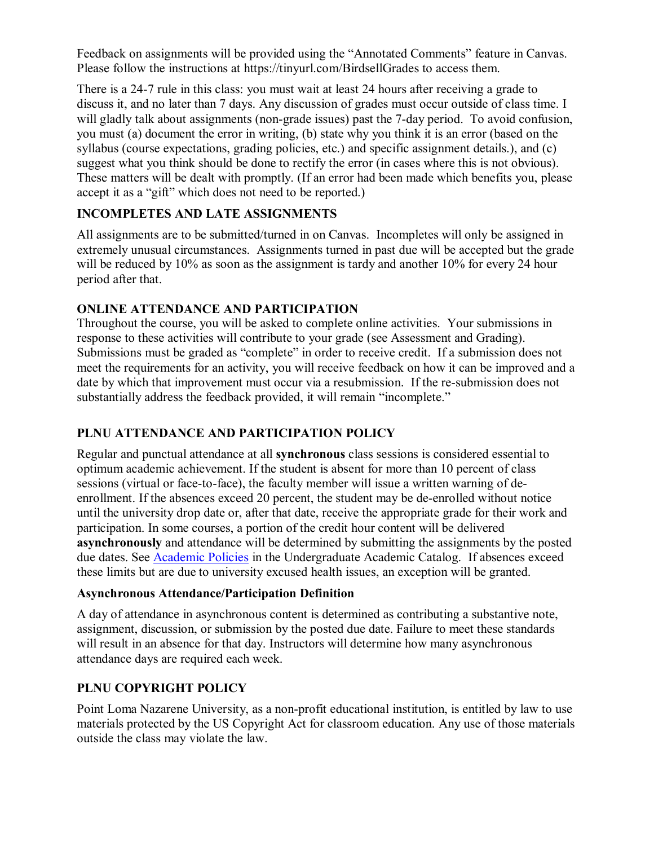Feedback on assignments will be provided using the "Annotated Comments" feature in Canvas. Please follow the instructions at https://tinyurl.com/BirdsellGrades to access them.

There is a 24-7 rule in this class: you must wait at least 24 hours after receiving a grade to discuss it, and no later than 7 days. Any discussion of grades must occur outside of class time. I will gladly talk about assignments (non-grade issues) past the 7-day period. To avoid confusion, you must (a) document the error in writing, (b) state why you think it is an error (based on the syllabus (course expectations, grading policies, etc.) and specific assignment details.), and (c) suggest what you think should be done to rectify the error (in cases where this is not obvious). These matters will be dealt with promptly. (If an error had been made which benefits you, please accept it as a "gift" which does not need to be reported.)

# **INCOMPLETES AND LATE ASSIGNMENTS**

All assignments are to be submitted/turned in on Canvas. Incompletes will only be assigned in extremely unusual circumstances. Assignments turned in past due will be accepted but the grade will be reduced by 10% as soon as the assignment is tardy and another 10% for every 24 hour period after that.

#### **ONLINE ATTENDANCE AND PARTICIPATION**

Throughout the course, you will be asked to complete online activities. Your submissions in response to these activities will contribute to your grade (see Assessment and Grading). Submissions must be graded as "complete" in order to receive credit. If a submission does not meet the requirements for an activity, you will receive feedback on how it can be improved and a date by which that improvement must occur via a resubmission. If the re-submission does not substantially address the feedback provided, it will remain "incomplete."

# **PLNU ATTENDANCE AND PARTICIPATION POLICY**

Regular and punctual attendance at all **synchronous** class sessions is considered essential to optimum academic achievement. If the student is absent for more than 10 percent of class sessions (virtual or face-to-face), the faculty member will issue a written warning of deenrollment. If the absences exceed 20 percent, the student may be de-enrolled without notice until the university drop date or, after that date, receive the appropriate grade for their work and participation. In some courses, a portion of the credit hour content will be delivered **asynchronously** and attendance will be determined by submitting the assignments by the posted due dates. See [Academic Policies](https://catalog.pointloma.edu/content.php?catoid=46&navoid=2650#Class_Attendance) in the Undergraduate Academic Catalog. If absences exceed these limits but are due to university excused health issues, an exception will be granted.

#### **Asynchronous Attendance/Participation Definition**

A day of attendance in asynchronous content is determined as contributing a substantive note, assignment, discussion, or submission by the posted due date. Failure to meet these standards will result in an absence for that day. Instructors will determine how many asynchronous attendance days are required each week.

#### **PLNU COPYRIGHT POLICY**

Point Loma Nazarene University, as a non-profit educational institution, is entitled by law to use materials protected by the US Copyright Act for classroom education. Any use of those materials outside the class may violate the law.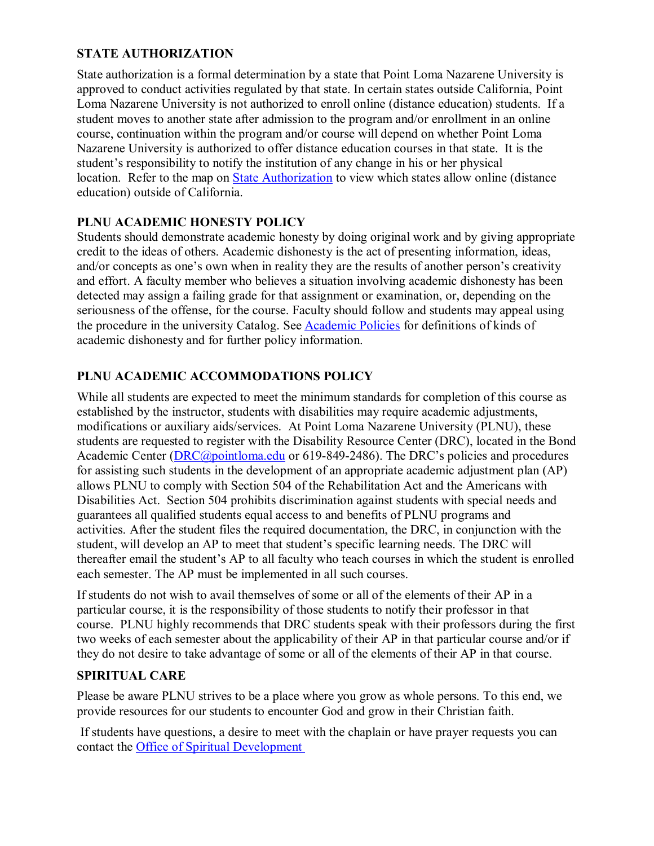### **STATE AUTHORIZATION**

State authorization is a formal determination by a state that Point Loma Nazarene University is approved to conduct activities regulated by that state. In certain states outside California, Point Loma Nazarene University is not authorized to enroll online (distance education) students. If a student moves to another state after admission to the program and/or enrollment in an online course, continuation within the program and/or course will depend on whether Point Loma Nazarene University is authorized to offer distance education courses in that state. It is the student's responsibility to notify the institution of any change in his or her physical location. Refer to the map on [State Authorization](https://www.pointloma.edu/offices/office-institutional-effectiveness-research/disclosures) to view which states allow online (distance education) outside of California.

### **PLNU ACADEMIC HONESTY POLICY**

Students should demonstrate academic honesty by doing original work and by giving appropriate credit to the ideas of others. Academic dishonesty is the act of presenting information, ideas, and/or concepts as one's own when in reality they are the results of another person's creativity and effort. A faculty member who believes a situation involving academic dishonesty has been detected may assign a failing grade for that assignment or examination, or, depending on the seriousness of the offense, for the course. Faculty should follow and students may appeal using the procedure in the university Catalog. See [Academic Policies](https://catalog.pointloma.edu/content.php?catoid=41&navoid=2435#Academic_Honesty) for definitions of kinds of academic dishonesty and for further policy information.

# **PLNU ACADEMIC ACCOMMODATIONS POLICY**

While all students are expected to meet the minimum standards for completion of this course as established by the instructor, students with disabilities may require academic adjustments, modifications or auxiliary aids/services. At Point Loma Nazarene University (PLNU), these students are requested to register with the Disability Resource Center (DRC), located in the Bond Academic Center [\(DRC@pointloma.edu](mailto:DRC@pointloma.edu) or 619-849-2486). The DRC's policies and procedures for assisting such students in the development of an appropriate academic adjustment plan (AP) allows PLNU to comply with Section 504 of the Rehabilitation Act and the Americans with Disabilities Act. Section 504 prohibits discrimination against students with special needs and guarantees all qualified students equal access to and benefits of PLNU programs and activities. After the student files the required documentation, the DRC, in conjunction with the student, will develop an AP to meet that student's specific learning needs. The DRC will thereafter email the student's AP to all faculty who teach courses in which the student is enrolled each semester. The AP must be implemented in all such courses.

If students do not wish to avail themselves of some or all of the elements of their AP in a particular course, it is the responsibility of those students to notify their professor in that course. PLNU highly recommends that DRC students speak with their professors during the first two weeks of each semester about the applicability of their AP in that particular course and/or if they do not desire to take advantage of some or all of the elements of their AP in that course.

# **SPIRITUAL CARE**

Please be aware PLNU strives to be a place where you grow as whole persons. To this end, we provide resources for our students to encounter God and grow in their Christian faith.

If students have questions, a desire to meet with the chaplain or have prayer requests you can contact the [Office of Spiritual Development](https://www.pointloma.edu/offices/spiritual-development)